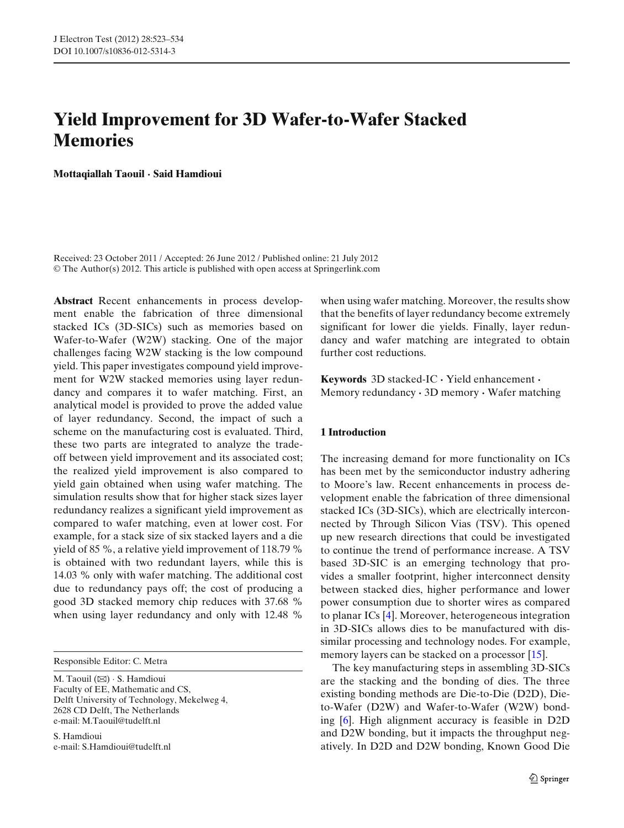# **Yield Improvement for 3D Wafer-to-Wafer Stacked Memories**

**Mottaqiallah Taouil · Said Hamdioui**

Received: 23 October 2011 / Accepted: 26 June 2012 / Published online: 21 July 2012 © The Author(s) 2012. This article is published with open access at Springerlink.com

**Abstract** Recent enhancements in process development enable the fabrication of three dimensional stacked ICs (3D-SICs) such as memories based on Wafer-to-Wafer (W2W) stacking. One of the major challenges facing W2W stacking is the low compound yield. This paper investigates compound yield improvement for W2W stacked memories using layer redundancy and compares it to wafer matching. First, an analytical model is provided to prove the added value of layer redundancy. Second, the impact of such a scheme on the manufacturing cost is evaluated. Third, these two parts are integrated to analyze the tradeoff between yield improvement and its associated cost; the realized yield improvement is also compared to yield gain obtained when using wafer matching. The simulation results show that for higher stack sizes layer redundancy realizes a significant yield improvement as compared to wafer matching, even at lower cost. For example, for a stack size of six stacked layers and a die yield of 85 %, a relative yield improvement of 118.79 % is obtained with two redundant layers, while this is 14.03 % only with wafer matching. The additional cost due to redundancy pays off; the cost of producing a good 3D stacked memory chip reduces with 37.68 % when using layer redundancy and only with 12.48 %

Responsible Editor: C. Metra

M. Taouil  $(\boxtimes) \cdot$  S. Hamdioui Faculty of EE, Mathematic and CS, Delft University of Technology, Mekelweg 4, 2628 CD Delft, The Netherlands e-mail: M.Taouil@tudelft.nl

S. Hamdioui e-mail: S.Hamdioui@tudelft.nl

when using wafer matching. Moreover, the results show that the benefits of layer redundancy become extremely significant for lower die yields. Finally, layer redundancy and wafer matching are integrated to obtain further cost reductions.

**Keywords** 3D stacked-IC **·** Yield enhancement **·** Memory redundancy **·** 3D memory **·** Wafer matching

#### **1 Introduction**

The increasing demand for more functionality on ICs has been met by the semiconductor industry adhering to Moore's law. Recent enhancements in process development enable the fabrication of three dimensional stacked ICs (3D-SICs), which are electrically interconnected by Through Silicon Vias (TSV). This opened up new research directions that could be investigated to continue the trend of performance increase. A TSV based 3D-SIC is an emerging technology that provides a smaller footprint, higher interconnect density between stacked dies, higher performance and lower power consumption due to shorter wires as compared to planar ICs [\[4\]](#page-11-0). Moreover, heterogeneous integration in 3D-SICs allows dies to be manufactured with dissimilar processing and technology nodes. For example, memory layers can be stacked on a processor [\[15](#page-11-0)].

The key manufacturing steps in assembling 3D-SICs are the stacking and the bonding of dies. The three existing bonding methods are Die-to-Die (D2D), Dieto-Wafer (D2W) and Wafer-to-Wafer (W2W) bonding [\[6\]](#page-11-0). High alignment accuracy is feasible in D2D and D2W bonding, but it impacts the throughput negatively. In D2D and D2W bonding, Known Good Die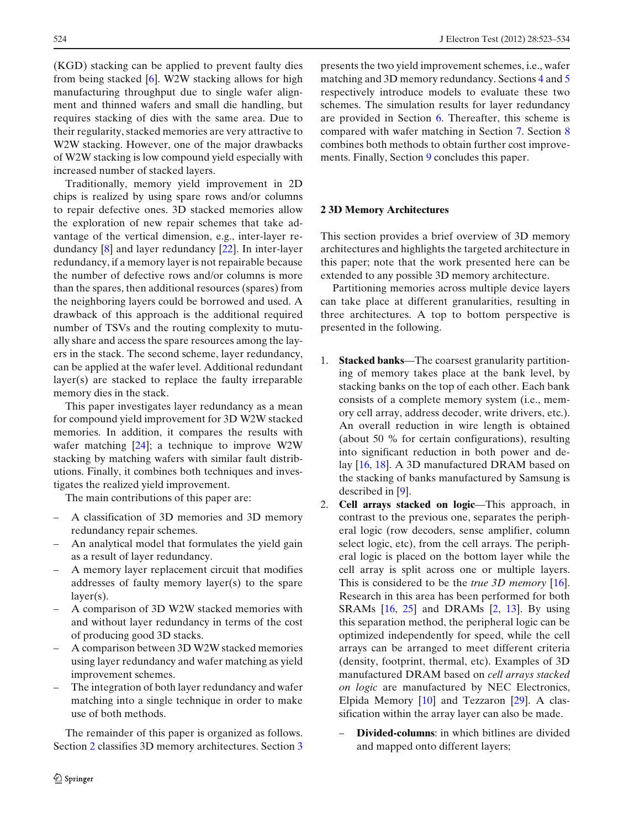<span id="page-1-0"></span>(KGD) stacking can be applied to prevent faulty dies from being stacked [\[6](#page-11-0)]. W2W stacking allows for high manufacturing throughput due to single wafer alignment and thinned wafers and small die handling, but requires stacking of dies with the same area. Due to their regularity, stacked memories are very attractive to W2W stacking. However, one of the major drawbacks of W2W stacking is low compound yield especially with increased number of stacked layers.

Traditionally, memory yield improvement in 2D chips is realized by using spare rows and/or columns to repair defective ones. 3D stacked memories allow the exploration of new repair schemes that take advantage of the vertical dimension, e.g., inter-layer redundancy [\[8\]](#page-11-0) and layer redundancy [\[22](#page-11-0)]. In inter-layer redundancy, if a memory layer is not repairable because the number of defective rows and/or columns is more than the spares, then additional resources (spares) from the neighboring layers could be borrowed and used. A drawback of this approach is the additional required number of TSVs and the routing complexity to mutually share and access the spare resources among the layers in the stack. The second scheme, layer redundancy, can be applied at the wafer level. Additional redundant layer(s) are stacked to replace the faulty irreparable memory dies in the stack.

This paper investigates layer redundancy as a mean for compound yield improvement for 3D W2W stacked memories. In addition, it compares the results with wafer matching  $[24]$  $[24]$ ; a technique to improve W2W stacking by matching wafers with similar fault distributions. Finally, it combines both techniques and investigates the realized yield improvement.

The main contributions of this paper are:

- A classification of 3D memories and 3D memory redundancy repair schemes.
- An analytical model that formulates the yield gain as a result of layer redundancy.
- A memory layer replacement circuit that modifies addresses of faulty memory layer(s) to the spare layer(s).
- A comparison of 3D W2W stacked memories with and without layer redundancy in terms of the cost of producing good 3D stacks.
- A comparison between 3D W2W stacked memories using layer redundancy and wafer matching as yield improvement schemes.
- The integration of both layer redundancy and wafer matching into a single technique in order to make use of both methods.

The remainder of this paper is organized as follows. Section 2 classifies [3](#page-2-0)D memory architectures. Section 3 presents the two yield improvement schemes, i.e., wafer matching and 3D memory redundancy. Sections [4](#page-2-0) and [5](#page-5-0) respectively introduce models to evaluate these two schemes. The simulation results for layer redundancy are provided in Section [6.](#page-6-0) Thereafter, this scheme is compared with wafer matching in Section [7.](#page-8-0) Section [8](#page-9-0) combines both methods to obtain further cost improvements. Finally, Section [9](#page-10-0) concludes this paper.

# **2 3D Memory Architectures**

This section provides a brief overview of 3D memory architectures and highlights the targeted architecture in this paper; note that the work presented here can be extended to any possible 3D memory architecture.

Partitioning memories across multiple device layers can take place at different granularities, resulting in three architectures. A top to bottom perspective is presented in the following.

- 1. **Stacked banks**—The coarsest granularity partitioning of memory takes place at the bank level, by stacking banks on the top of each other. Each bank consists of a complete memory system (i.e., memory cell array, address decoder, write drivers, etc.). An overall reduction in wire length is obtained (about 50 % for certain configurations), resulting into significant reduction in both power and delay [\[16,](#page-11-0) [18](#page-11-0)]. A 3D manufactured DRAM based on the stacking of banks manufactured by Samsung is described in [\[9\]](#page-11-0).
- 2. **Cell arrays stacked on logic**—This approach, in contrast to the previous one, separates the peripheral logic (row decoders, sense amplifier, column select logic, etc), from the cell arrays. The peripheral logic is placed on the bottom layer while the cell array is split across one or multiple layers. This is considered to be the *true 3D memory* [\[16](#page-11-0)]. Research in this area has been performed for both SRAMs  $[16, 25]$  $[16, 25]$  $[16, 25]$  and DRAMs  $[2, 13]$  $[2, 13]$  $[2, 13]$  $[2, 13]$ . By using this separation method, the peripheral logic can be optimized independently for speed, while the cell arrays can be arranged to meet different criteria (density, footprint, thermal, etc). Examples of 3D manufactured DRAM based on *cell arrays stacked on logic* are manufactured by NEC Electronics, Elpida Memory [\[10\]](#page-11-0) and Tezzaron [\[29\]](#page-11-0). A classification within the array layer can also be made.
	- **Divided-columns:** in which bitlines are divided and mapped onto different layers;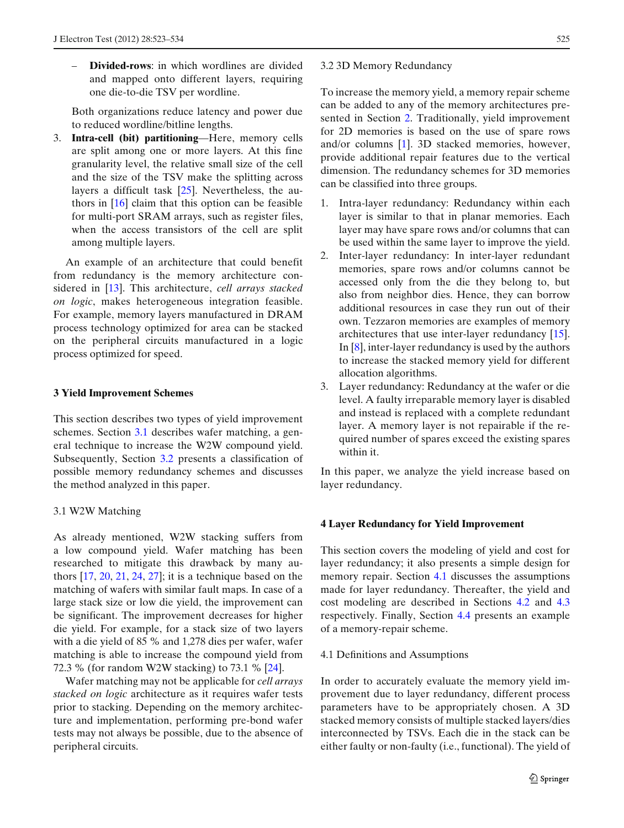<span id="page-2-0"></span>– **Divided-rows**: in which wordlines are divided and mapped onto different layers, requiring one die-to-die TSV per wordline.

Both organizations reduce latency and power due to reduced wordline/bitline lengths.

3. **Intra-cell (bit) partitioning**—Here, memory cells are split among one or more layers. At this fine granularity level, the relative small size of the cell and the size of the TSV make the splitting across layers a difficult task [\[25\]](#page-11-0). Nevertheless, the authors in [\[16](#page-11-0)] claim that this option can be feasible for multi-port SRAM arrays, such as register files, when the access transistors of the cell are split among multiple layers.

An example of an architecture that could benefit from redundancy is the memory architecture considered in [\[13\]](#page-11-0). This architecture, *cell arrays stacked on logic*, makes heterogeneous integration feasible. For example, memory layers manufactured in DRAM process technology optimized for area can be stacked on the peripheral circuits manufactured in a logic process optimized for speed.

# **3 Yield Improvement Schemes**

This section describes two types of yield improvement schemes. Section 3.1 describes wafer matching, a general technique to increase the W2W compound yield. Subsequently, Section 3.2 presents a classification of possible memory redundancy schemes and discusses the method analyzed in this paper.

# 3.1 W2W Matching

As already mentioned, W2W stacking suffers from a low compound yield. Wafer matching has been researched to mitigate this drawback by many authors [\[17,](#page-11-0) [20](#page-11-0), [21,](#page-11-0) [24](#page-11-0), [27\]](#page-11-0); it is a technique based on the matching of wafers with similar fault maps. In case of a large stack size or low die yield, the improvement can be significant. The improvement decreases for higher die yield. For example, for a stack size of two layers with a die yield of 85 % and 1,278 dies per wafer, wafer matching is able to increase the compound yield from 72.3 % (for random W2W stacking) to 73.1 % [\[24\]](#page-11-0).

Wafer matching may not be applicable for *cell arrays stacked on logic* architecture as it requires wafer tests prior to stacking. Depending on the memory architecture and implementation, performing pre-bond wafer tests may not always be possible, due to the absence of peripheral circuits.

#### 3.2 3D Memory Redundancy

To increase the memory yield, a memory repair scheme can be added to any of the memory architectures presented in Section [2.](#page-1-0) Traditionally, yield improvement for 2D memories is based on the use of spare rows and/or columns [\[1](#page-11-0)]. 3D stacked memories, however, provide additional repair features due to the vertical dimension. The redundancy schemes for 3D memories can be classified into three groups.

- 1. Intra-layer redundancy: Redundancy within each layer is similar to that in planar memories. Each layer may have spare rows and/or columns that can be used within the same layer to improve the yield.
- 2. Inter-layer redundancy: In inter-layer redundant memories, spare rows and/or columns cannot be accessed only from the die they belong to, but also from neighbor dies. Hence, they can borrow additional resources in case they run out of their own. Tezzaron memories are examples of memory architectures that use inter-layer redundancy [\[15](#page-11-0)]. In [\[8](#page-11-0)], inter-layer redundancy is used by the authors to increase the stacked memory yield for different allocation algorithms.
- 3. Layer redundancy: Redundancy at the wafer or die level. A faulty irreparable memory layer is disabled and instead is replaced with a complete redundant layer. A memory layer is not repairable if the required number of spares exceed the existing spares within it.

In this paper, we analyze the yield increase based on layer redundancy.

## **4 Layer Redundancy for Yield Improvement**

This section covers the modeling of yield and cost for layer redundancy; it also presents a simple design for memory repair. Section 4.1 discusses the assumptions made for layer redundancy. Thereafter, the yield and cost modeling are described in Sections [4.2](#page-3-0) and [4.3](#page-3-0) respectively. Finally, Section [4.4](#page-4-0) presents an example of a memory-repair scheme.

## 4.1 Definitions and Assumptions

In order to accurately evaluate the memory yield improvement due to layer redundancy, different process parameters have to be appropriately chosen. A 3D stacked memory consists of multiple stacked layers/dies interconnected by TSVs. Each die in the stack can be either faulty or non-faulty (i.e., functional). The yield of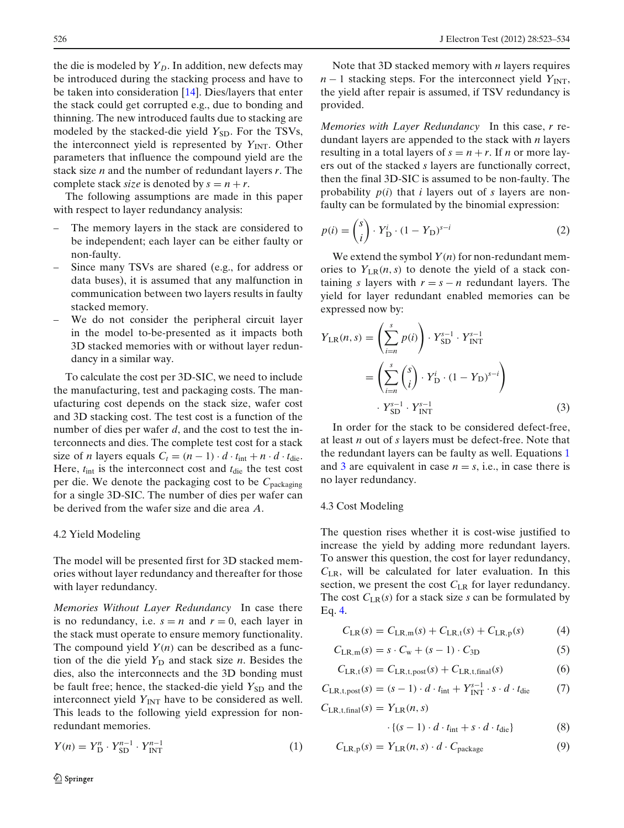<span id="page-3-0"></span>the die is modeled by  $Y_D$ . In addition, new defects may be introduced during the stacking process and have to be taken into consideration [\[14\]](#page-11-0). Dies/layers that enter the stack could get corrupted e.g., due to bonding and thinning. The new introduced faults due to stacking are modeled by the stacked-die yield *Y*<sub>SD</sub>. For the TSVs, the interconnect yield is represented by  $Y_{\text{INT}}$ . Other parameters that influence the compound yield are the stack size *n* and the number of redundant layers *r*. The complete stack *size* is denoted by  $s = n + r$ .

The following assumptions are made in this paper with respect to layer redundancy analysis:

- The memory layers in the stack are considered to be independent; each layer can be either faulty or non-faulty.
- Since many TSVs are shared (e.g., for address or data buses), it is assumed that any malfunction in communication between two layers results in faulty stacked memory.
- We do not consider the peripheral circuit layer in the model to-be-presented as it impacts both 3D stacked memories with or without layer redundancy in a similar way.

To calculate the cost per 3D-SIC, we need to include the manufacturing, test and packaging costs. The manufacturing cost depends on the stack size, wafer cost and 3D stacking cost. The test cost is a function of the number of dies per wafer *d*, and the cost to test the interconnects and dies. The complete test cost for a stack size of *n* layers equals  $C_t = (n - 1) \cdot d \cdot t_{int} + n \cdot d \cdot t_{die}$ . Here,  $t_{\text{int}}$  is the interconnect cost and  $t_{\text{die}}$  the test cost per die. We denote the packaging cost to be *C*packaging for a single 3D-SIC. The number of dies per wafer can be derived from the wafer size and die area *A*.

## 4.2 Yield Modeling

The model will be presented first for 3D stacked memories without layer redundancy and thereafter for those with layer redundancy.

*Memories Without Layer Redundancy* In case there is no redundancy, i.e.  $s = n$  and  $r = 0$ , each layer in the stack must operate to ensure memory functionality. The compound yield  $Y(n)$  can be described as a function of the die yield  $Y_D$  and stack size *n*. Besides the dies, also the interconnects and the 3D bonding must be fault free; hence, the stacked-die yield  $Y_{SD}$  and the interconnect yield  $Y_{\text{INT}}$  have to be considered as well. This leads to the following yield expression for nonredundant memories.

$$
Y(n) = Y_D^n \cdot Y_{SD}^{n-1} \cdot Y_{INT}^{n-1}
$$
 (1)

 $\underline{\textcircled{\tiny 2}}$  Springer

Note that 3D stacked memory with *n* layers requires  $n-1$  stacking steps. For the interconnect yield  $Y_{\text{INT}}$ , the yield after repair is assumed, if TSV redundancy is provided.

*Memories with Layer Redundancy* In this case, *r* redundant layers are appended to the stack with *n* layers resulting in a total layers of  $s = n + r$ . If *n* or more layers out of the stacked *s* layers are functionally correct, then the final 3D-SIC is assumed to be non-faulty. The probability *p*(*i*) that *i* layers out of *s* layers are nonfaulty can be formulated by the binomial expression:

$$
p(i) = {s \choose i} \cdot Y_{D}^{i} \cdot (1 - Y_{D})^{s-i}
$$
 (2)

We extend the symbol  $Y(n)$  for non-redundant memories to  $Y_{LR}(n, s)$  to denote the yield of a stack containing *s* layers with  $r = s - n$  redundant layers. The yield for layer redundant enabled memories can be expressed now by:

$$
Y_{LR}(n, s) = \left(\sum_{i=n}^{s} p(i)\right) \cdot Y_{SD}^{s-1} \cdot Y_{INT}^{s-1}
$$

$$
= \left(\sum_{i=n}^{s} {s \choose i} \cdot Y_{D}^{i} \cdot (1 - Y_{D})^{s-i}\right)
$$

$$
\cdot Y_{SD}^{s-1} \cdot Y_{INT}^{s-1}
$$
(3)

In order for the stack to be considered defect-free, at least *n* out of *s* layers must be defect-free. Note that the redundant layers can be faulty as well. Equations 1 and 3 are equivalent in case  $n = s$ , i.e., in case there is no layer redundancy.

#### 4.3 Cost Modeling

The question rises whether it is cost-wise justified to increase the yield by adding more redundant layers. To answer this question, the cost for layer redundancy, *C*LR, will be calculated for later evaluation. In this section, we present the cost  $C_{LR}$  for layer redundancy. The cost  $C_{LR}(s)$  for a stack size *s* can be formulated by Eq. 4.

$$
C_{LR}(s) = C_{LR,m}(s) + C_{LR,t}(s) + C_{LR,p}(s)
$$
 (4)

$$
C_{\text{LR,m}}(s) = s \cdot C_{\text{w}} + (s - 1) \cdot C_{3\text{D}} \tag{5}
$$

$$
C_{LR,t}(s) = C_{LR,t,post}(s) + C_{LR,t,final}(s)
$$
\n(6)

$$
C_{LR,t,post}(s) = (s-1) \cdot d \cdot t_{int} + Y_{INT}^{s-1} \cdot s \cdot d \cdot t_{die}
$$
 (7)

$$
C_{LR, t, final}(s) = Y_{LR}(n, s)
$$

$$
\cdot \{ (s-1) \cdot d \cdot t_{\text{int}} + s \cdot d \cdot t_{\text{die}} \} \tag{8}
$$

$$
C_{LR,p}(s) = Y_{LR}(n,s) \cdot d \cdot C_{package}
$$
 (9)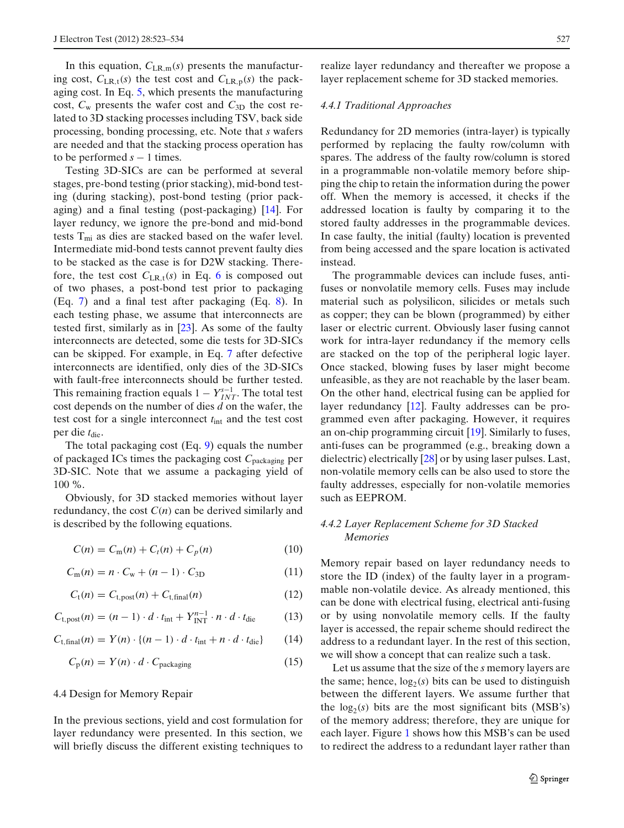<span id="page-4-0"></span>In this equation,  $C_{LR,m}(s)$  presents the manufacturing cost,  $C_{LR,t}(s)$  the test cost and  $C_{LR,p}(s)$  the packaging cost. In Eq. [5,](#page-3-0) which presents the manufacturing cost,  $C_w$  presents the wafer cost and  $C_{3D}$  the cost related to 3D stacking processes including TSV, back side processing, bonding processing, etc. Note that *s* wafers are needed and that the stacking process operation has to be performed  $s - 1$  times.

Testing 3D-SICs are can be performed at several stages, pre-bond testing (prior stacking), mid-bond testing (during stacking), post-bond testing (prior packaging) and a final testing (post-packaging) [\[14\]](#page-11-0). For layer reduncy, we ignore the pre-bond and mid-bond tests  $T<sub>mi</sub>$  as dies are stacked based on the wafer level. Intermediate mid-bond tests cannot prevent faulty dies to be stacked as the case is for D2W stacking. Therefore, the test cost  $C_{LR,t}(s)$  in Eq. [6](#page-3-0) is composed out of two phases, a post-bond test prior to packaging (Eq. [7\)](#page-3-0) and a final test after packaging (Eq. [8\)](#page-3-0). In each testing phase, we assume that interconnects are tested first, similarly as in [\[23\]](#page-11-0). As some of the faulty interconnects are detected, some die tests for 3D-SICs can be skipped. For example, in Eq. [7](#page-3-0) after defective interconnects are identified, only dies of the 3D-SICs with fault-free interconnects should be further tested. This remaining fraction equals  $1 - Y_{INT}^{s-1}$ . The total test cost depends on the number of dies *d* on the wafer, the test cost for a single interconnect *t*int and the test cost per die  $t_{\text{die}}$ .

The total packaging cost (Eq. [9\)](#page-3-0) equals the number of packaged ICs times the packaging cost *C*packaging per 3D-SIC. Note that we assume a packaging yield of 100 %.

Obviously, for 3D stacked memories without layer redundancy, the cost  $C(n)$  can be derived similarly and is described by the following equations.

$$
C(n) = C_m(n) + C_t(n) + C_p(n)
$$
 (10)

$$
C_m(n) = n \cdot C_w + (n-1) \cdot C_{3D} \tag{11}
$$

$$
C_{t}(n) = C_{t,post}(n) + C_{t,final}(n)
$$
\n(12)

$$
C_{t,post}(n) = (n-1) \cdot d \cdot t_{int} + Y_{INT}^{n-1} \cdot n \cdot d \cdot t_{die}
$$
 (13)

$$
C_{\text{t,final}}(n) = Y(n) \cdot \{(n-1) \cdot d \cdot t_{\text{int}} + n \cdot d \cdot t_{\text{die}}\} \tag{14}
$$

$$
C_p(n) = Y(n) \cdot d \cdot C_{\text{packaging}} \tag{15}
$$

#### 4.4 Design for Memory Repair

In the previous sections, yield and cost formulation for layer redundancy were presented. In this section, we will briefly discuss the different existing techniques to

realize layer redundancy and thereafter we propose a layer replacement scheme for 3D stacked memories.

#### *4.4.1 Traditional Approaches*

Redundancy for 2D memories (intra-layer) is typically performed by replacing the faulty row/column with spares. The address of the faulty row/column is stored in a programmable non-volatile memory before shipping the chip to retain the information during the power off. When the memory is accessed, it checks if the addressed location is faulty by comparing it to the stored faulty addresses in the programmable devices. In case faulty, the initial (faulty) location is prevented from being accessed and the spare location is activated instead.

The programmable devices can include fuses, antifuses or nonvolatile memory cells. Fuses may include material such as polysilicon, silicides or metals such as copper; they can be blown (programmed) by either laser or electric current. Obviously laser fusing cannot work for intra-layer redundancy if the memory cells are stacked on the top of the peripheral logic layer. Once stacked, blowing fuses by laser might become unfeasible, as they are not reachable by the laser beam. On the other hand, electrical fusing can be applied for layer redundancy [\[12\]](#page-11-0). Faulty addresses can be programmed even after packaging. However, it requires an on-chip programming circuit [\[19\]](#page-11-0). Similarly to fuses, anti-fuses can be programmed (e.g., breaking down a dielectric) electrically [\[28\]](#page-11-0) or by using laser pulses. Last, non-volatile memory cells can be also used to store the faulty addresses, especially for non-volatile memories such as EEPROM.

# *4.4.2 Layer Replacement Scheme for 3D Stacked Memories*

Memory repair based on layer redundancy needs to store the ID (index) of the faulty layer in a programmable non-volatile device. As already mentioned, this can be done with electrical fusing, electrical anti-fusing or by using nonvolatile memory cells. If the faulty layer is accessed, the repair scheme should redirect the address to a redundant layer. In the rest of this section, we will show a concept that can realize such a task.

Let us assume that the size of the *s* memory layers are the same; hence,  $log_2(s)$  bits can be used to distinguish between the different layers. We assume further that the  $log_2(s)$  bits are the most significant bits (MSB's) of the memory address; therefore, they are unique for each layer. Figure [1](#page-5-0) shows how this MSB's can be used to redirect the address to a redundant layer rather than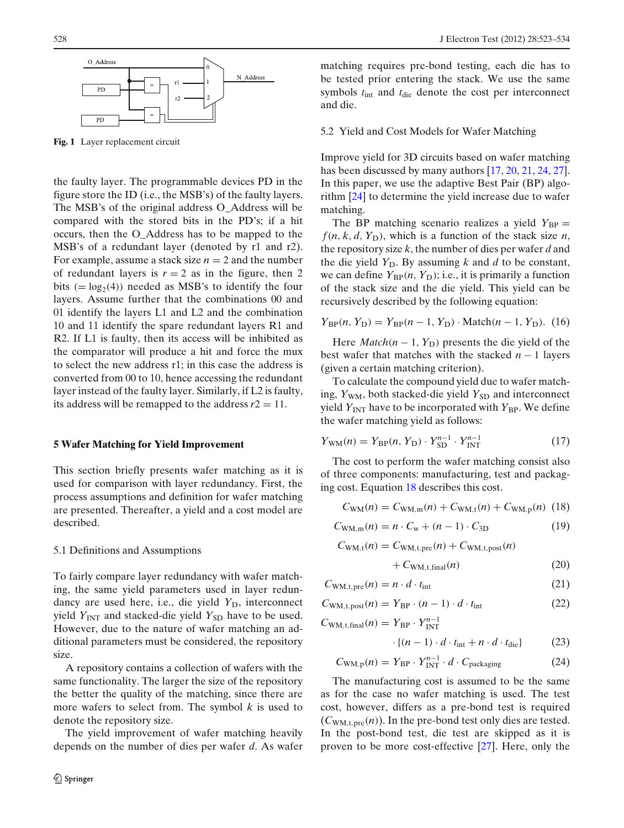<span id="page-5-0"></span>

**Fig. 1** Layer replacement circuit

the faulty layer. The programmable devices PD in the figure store the ID (i.e., the MSB's) of the faulty layers. The MSB's of the original address O\_Address will be compared with the stored bits in the PD's; if a hit occurs, then the O\_Address has to be mapped to the MSB's of a redundant layer (denoted by r1 and r2). For example, assume a stack size  $n = 2$  and the number of redundant layers is  $r = 2$  as in the figure, then 2 bits  $(= \log_2(4))$  needed as MSB's to identify the four layers. Assume further that the combinations 00 and 01 identify the layers L1 and L2 and the combination 10 and 11 identify the spare redundant layers R1 and R2. If L1 is faulty, then its access will be inhibited as the comparator will produce a hit and force the mux to select the new address r1; in this case the address is converted from 00 to 10, hence accessing the redundant layer instead of the faulty layer. Similarly, if L2 is faulty, its address will be remapped to the address  $r2 = 11$ .

#### **5 Wafer Matching for Yield Improvement**

This section briefly presents wafer matching as it is used for comparison with layer redundancy. First, the process assumptions and definition for wafer matching are presented. Thereafter, a yield and a cost model are described.

#### 5.1 Definitions and Assumptions

To fairly compare layer redundancy with wafer matching, the same yield parameters used in layer redundancy are used here, i.e., die yield Y<sub>D</sub>, interconnect yield  $Y_{\text{INT}}$  and stacked-die yield  $Y_{\text{SD}}$  have to be used. However, due to the nature of wafer matching an additional parameters must be considered, the repository size.

A repository contains a collection of wafers with the same functionality. The larger the size of the repository the better the quality of the matching, since there are more wafers to select from. The symbol *k* is used to denote the repository size.

The yield improvement of wafer matching heavily depends on the number of dies per wafer *d*. As wafer

matching requires pre-bond testing, each die has to be tested prior entering the stack. We use the same symbols  $t_{\text{int}}$  and  $t_{\text{die}}$  denote the cost per interconnect and die.

#### 5.2 Yield and Cost Models for Wafer Matching

Improve yield for 3D circuits based on wafer matching has been discussed by many authors [\[17](#page-11-0), [20](#page-11-0), [21](#page-11-0), [24](#page-11-0), [27](#page-11-0)]. In this paper, we use the adaptive Best Pair (BP) algorithm [\[24](#page-11-0)] to determine the yield increase due to wafer matching.

The BP matching scenario realizes a yield  $Y_{BP} =$  $f(n, k, d, Y_D)$ , which is a function of the stack size *n*, the repository size *k*, the number of dies per wafer *d* and the die yield  $Y_D$ . By assuming *k* and *d* to be constant, we can define  $Y_{BP}(n, Y_D)$ ; i.e., it is primarily a function of the stack size and the die yield. This yield can be recursively described by the following equation:

$$
Y_{\rm BP}(n, Y_{\rm D}) = Y_{\rm BP}(n - 1, Y_{\rm D}) \cdot \text{Match}(n - 1, Y_{\rm D}). \tag{16}
$$

Here  $Match(n - 1, Y_D)$  presents the die yield of the best wafer that matches with the stacked  $n - 1$  layers (given a certain matching criterion).

To calculate the compound yield due to wafer matching,  $Y_{WM}$ , both stacked-die yield  $Y_{SD}$  and interconnect yield  $Y_{\text{INT}}$  have to be incorporated with  $Y_{\text{BP}}$ . We define the wafer matching yield as follows:

$$
Y_{\rm WM}(n) = Y_{\rm BP}(n, Y_{\rm D}) \cdot Y_{\rm SD}^{n-1} \cdot Y_{\rm INT}^{n-1}
$$
 (17)

The cost to perform the wafer matching consist also of three components: manufacturing, test and packaging cost. Equation 18 describes this cost.

$$
C_{\text{WM}}(n) = C_{\text{WM,m}}(n) + C_{\text{WM,t}}(n) + C_{\text{WM,p}}(n) \tag{18}
$$

$$
C_{\text{WM,m}}(n) = n \cdot C_{\text{w}} + (n-1) \cdot C_{3\text{D}} \tag{19}
$$

 $C_{WM,t}(n) = C_{WM,t,pre}(n) + C_{WM,t,post}(n)$ 

$$
+ C_{\text{WM}, \text{t,final}}(n) \tag{20}
$$

$$
C_{\text{WM,t,pre}}(n) = n \cdot d \cdot t_{\text{int}} \tag{21}
$$

$$
C_{\text{WM},t,\text{post}}(n) = Y_{\text{BP}} \cdot (n-1) \cdot d \cdot t_{\text{int}} \tag{22}
$$

 $C_{WM, t, final}(n) = Y_{BP} \cdot Y_{INT}^{n-1}$ 

$$
\cdot \{(n-1)\cdot d \cdot t_{\text{int}} + n \cdot d \cdot t_{\text{die}}\} \tag{23}
$$

$$
C_{\text{WM},p}(n) = Y_{\text{BP}} \cdot Y_{\text{INT}}^{n-1} \cdot d \cdot C_{\text{packaging}} \tag{24}
$$

The manufacturing cost is assumed to be the same as for the case no wafer matching is used. The test cost, however, differs as a pre-bond test is required  $(C_{WM, t, pre}(n))$ . In the pre-bond test only dies are tested. In the post-bond test, die test are skipped as it is proven to be more cost-effective [\[27](#page-11-0)]. Here, only the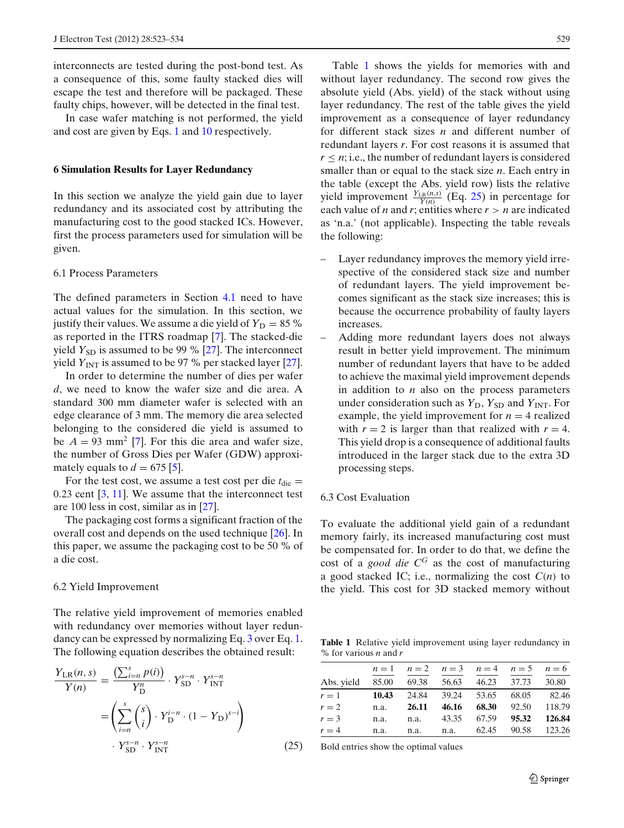<span id="page-6-0"></span>interconnects are tested during the post-bond test. As a consequence of this, some faulty stacked dies will escape the test and therefore will be packaged. These faulty chips, however, will be detected in the final test.

In case wafer matching is not performed, the yield and cost are given by Eqs. [1](#page-3-0) and [10](#page-4-0) respectively.

#### **6 Simulation Results for Layer Redundancy**

In this section we analyze the yield gain due to layer redundancy and its associated cost by attributing the manufacturing cost to the good stacked ICs. However, first the process parameters used for simulation will be given.

## 6.1 Process Parameters

The defined parameters in Section [4.1](#page-2-0) need to have actual values for the simulation. In this section, we justify their values. We assume a die yield of  $Y_D = 85 \%$ as reported in the ITRS roadmap [\[7](#page-11-0)]. The stacked-die yield  $Y_{SD}$  is assumed to be 99 % [\[27\]](#page-11-0). The interconnect yield  $Y_{\text{INT}}$  is assumed to be 97 % per stacked layer [\[27](#page-11-0)].

In order to determine the number of dies per wafer *d*, we need to know the wafer size and die area. A standard 300 mm diameter wafer is selected with an edge clearance of 3 mm. The memory die area selected belonging to the considered die yield is assumed to be  $A = 93$  mm<sup>2</sup> [\[7](#page-11-0)]. For this die area and wafer size, the number of Gross Dies per Wafer (GDW) approximately equals to  $d = 675$  [\[5](#page-11-0)].

For the test cost, we assume a test cost per die  $t_{\text{die}} =$ 0.23 cent  $[3, 11]$  $[3, 11]$  $[3, 11]$  $[3, 11]$ . We assume that the interconnect test are 100 less in cost, similar as in [\[27\]](#page-11-0).

The packaging cost forms a significant fraction of the overall cost and depends on the used technique [\[26](#page-11-0)]. In this paper, we assume the packaging cost to be 50 % of a die cost.

#### 6.2 Yield Improvement

The relative yield improvement of memories enabled with redundancy over memories without layer redundancy can be expressed by normalizing Eq. [3](#page-3-0) over Eq. [1.](#page-3-0) The following equation describes the obtained result:

$$
\frac{Y_{LR}(n, s)}{Y(n)} = \frac{\left(\sum_{i=n}^{s} p(i)\right)}{Y_{D}^{n}} \cdot Y_{SD}^{s-n} \cdot Y_{INT}^{s-n}
$$
\n
$$
= \left(\sum_{i=n}^{s} {s \choose i} \cdot Y_{D}^{i-n} \cdot (1 - Y_{D})^{s-i}\right)
$$
\n
$$
\cdot Y_{SD}^{s-n} \cdot Y_{INT}^{s-n}
$$
\n(25)

Table 1 shows the yields for memories with and without layer redundancy. The second row gives the absolute yield (Abs. yield) of the stack without using layer redundancy. The rest of the table gives the yield improvement as a consequence of layer redundancy for different stack sizes *n* and different number of redundant layers *r*. For cost reasons it is assumed that  $r \leq n$ ; i.e., the number of redundant layers is considered smaller than or equal to the stack size *n*. Each entry in the table (except the Abs. yield row) lists the relative yield improvement  $\frac{Y_{LR}(n,s)}{Y(n)}$  (Eq. 25) in percentage for each value of *n* and *r*; entities where  $r > n$  are indicated as 'n.a.' (not applicable). Inspecting the table reveals the following:

- Layer redundancy improves the memory yield irrespective of the considered stack size and number of redundant layers. The yield improvement becomes significant as the stack size increases; this is because the occurrence probability of faulty layers increases.
- Adding more redundant layers does not always result in better yield improvement. The minimum number of redundant layers that have to be added to achieve the maximal yield improvement depends in addition to *n* also on the process parameters under consideration such as  $Y_D$ ,  $Y_{SD}$  and  $Y_{INT}$ . For example, the yield improvement for  $n = 4$  realized with  $r = 2$  is larger than that realized with  $r = 4$ . This yield drop is a consequence of additional faults introduced in the larger stack due to the extra 3D processing steps.

#### 6.3 Cost Evaluation

To evaluate the additional yield gain of a redundant memory fairly, its increased manufacturing cost must be compensated for. In order to do that, we define the cost of a *good die C<sup>G</sup>* as the cost of manufacturing a good stacked IC; i.e., normalizing the cost  $C(n)$  to the yield. This cost for 3D stacked memory without

**Table 1** Relative yield improvement using layer redundancy in % for various *n* and *r*

|                                                |      | $n=1$ $n=2$ $n=3$ $n=4$ $n=5$ $n=6$        |  |  |
|------------------------------------------------|------|--------------------------------------------|--|--|
| Abs. yield 85.00 69.38 56.63 46.23 37.73 30.80 |      |                                            |  |  |
| $r = 1$ 10.43 24.84 39.24 53.65 68.05 82.46    |      |                                            |  |  |
| $r=2$                                          |      | n.a. <b>26.11 46.16 68.30</b> 92.50 118.79 |  |  |
| $r = 3$                                        |      | n.a. n.a. 43.35 67.59 95.32 126.84         |  |  |
| $r = 4$                                        | n.a. | n.a. n.a. 62.45 90.58 123.26               |  |  |

Bold entries show the optimal values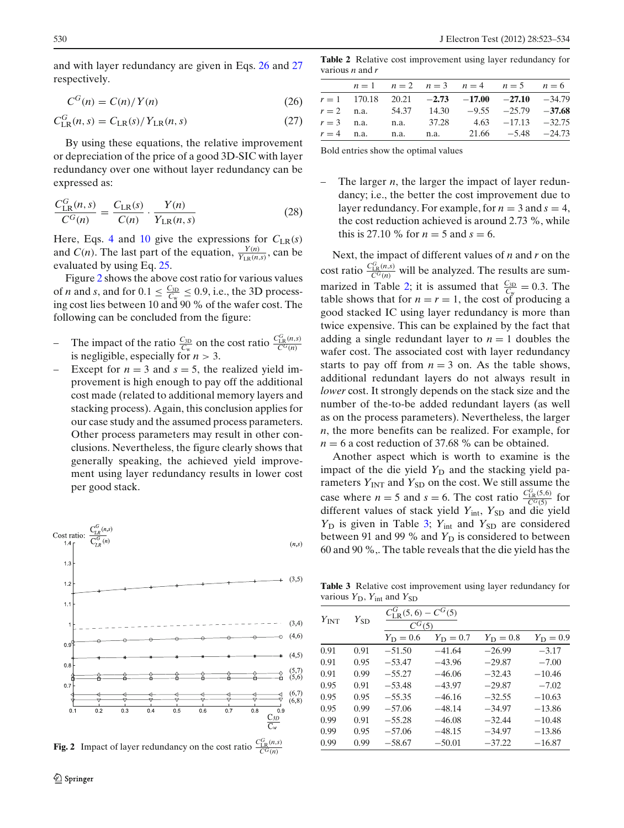<span id="page-7-0"></span>and with layer redundancy are given in Eqs. 26 and 27 respectively.

$$
C^G(n) = C(n)/Y(n) \tag{26}
$$

$$
C_{LR}^{G}(n, s) = C_{LR}(s) / Y_{LR}(n, s)
$$
\n(27)

By using these equations, the relative improvement or depreciation of the price of a good 3D-SIC with layer redundancy over one without layer redundancy can be expressed as:

$$
\frac{C_{LR}^G(n,s)}{C^G(n)} = \frac{C_{LR}(s)}{C(n)} \cdot \frac{Y(n)}{Y_{LR}(n,s)}
$$
(28)

Here, Eqs. [4](#page-3-0) and [10](#page-4-0) give the expressions for  $C_{LR}(s)$ and *C*(*n*). The last part of the equation,  $\frac{Y(n)}{Y_{LR}(n,s)}$ , can be evaluated by using Eq. [25.](#page-6-0)

Figure 2 shows the above cost ratio for various values of *n* and *s*, and for  $0.1 \le \frac{C_{3D}}{C_w} \le 0.9$ , i.e., the 3D processing cost lies between 10 and 90 % of the wafer cost. The following can be concluded from the figure:

- The impact of the ratio  $\frac{C_{3D}}{C_w}$  on the cost ratio  $\frac{C_{LR}^G(n,s)}{C^G(n)}$ is negligible, especially for  $n > 3$ .
- Except for  $n = 3$  and  $s = 5$ , the realized yield improvement is high enough to pay off the additional cost made (related to additional memory layers and stacking process). Again, this conclusion applies for our case study and the assumed process parameters. Other process parameters may result in other conclusions. Nevertheless, the figure clearly shows that generally speaking, the achieved yield improvement using layer redundancy results in lower cost per good stack.



**Fig. 2** Impact of layer redundancy on the cost ratio  $\frac{C_{\text{LR}}^G(n,s)}{C^G(n)}$ 

**Table 2** Relative cost improvement using layer redundancy for various *n* and *r*

|              |  |  | $n=1$ $n=2$ $n=3$ $n=4$ $n=5$ $n=6$             |  |
|--------------|--|--|-------------------------------------------------|--|
|              |  |  | $r = 1$ 170.18 20.21 -2.73 -17.00 -27.10 -34.79 |  |
|              |  |  | $r = 2$ n.a. 54.37 14.30 -9.55 -25.79 -37.68    |  |
| $r = 3$ n.a. |  |  | n.a. $37.28$ $4.63$ $-17.13$ $-32.75$           |  |
|              |  |  | $r = 4$ n.a. n.a. n.a. 21.66 -5.48 -24.73       |  |
|              |  |  |                                                 |  |

Bold entries show the optimal values

The larger  $n$ , the larger the impact of layer redundancy; i.e., the better the cost improvement due to layer redundancy. For example, for  $n = 3$  and  $s = 4$ , the cost reduction achieved is around 2.73 %, while this is 27.10 % for  $n = 5$  and  $s = 6$ .

Next, the impact of different values of *n* and *r* on the cost ratio  $\frac{C_{LR}^G(n,s)}{C^G(n)}$  will be analyzed. The results are summarized in Table 2; it is assumed that  $\frac{C_{3D}}{C_w} = 0.3$ . The table shows that for  $n = r = 1$ , the cost of producing a good stacked IC using layer redundancy is more than twice expensive. This can be explained by the fact that adding a single redundant layer to  $n = 1$  doubles the wafer cost. The associated cost with layer redundancy starts to pay off from  $n = 3$  on. As the table shows, additional redundant layers do not always result in *lower* cost. It strongly depends on the stack size and the number of the-to-be added redundant layers (as well as on the process parameters). Nevertheless, the larger *n*, the more benefits can be realized. For example, for  $n = 6$  a cost reduction of 37.68 % can be obtained.

Another aspect which is worth to examine is the impact of the die yield Y<sub>D</sub> and the stacking yield parameters  $Y_{\text{INT}}$  and  $Y_{\text{SD}}$  on the cost. We still assume the case where  $n = 5$  and  $s = 6$ . The cost ratio  $\frac{C_{LR}^{G}(5,6)}{C^{G}(5)}$  for different values of stack yield  $Y_{int}$ ,  $Y_{SD}$  and die yield *Y*<sub>D</sub> is given in Table 3; *Y*<sub>int</sub> and *Y*<sub>SD</sub> are considered between 91 and 99 % and  $Y_D$  is considered to between 60 and 90 %,. The table reveals that the die yield has the

**Table 3** Relative cost improvement using layer redundancy for various  $Y_D$ ,  $Y_{int}$  and  $Y_{SD}$ 

| $Y_{\rm INT}$ | $Y_{SD}$ | $C_{LR}^{G}(5,6)-C^{G}(5)$<br>$C^{G}(5)$ |                   |                   |                   |  |  |
|---------------|----------|------------------------------------------|-------------------|-------------------|-------------------|--|--|
|               |          | $Y_{\rm D} = 0.6$                        | $Y_{\rm D} = 0.7$ | $Y_{\rm D} = 0.8$ | $Y_{\rm D} = 0.9$ |  |  |
| 0.91          | 0.91     | $-51.50$                                 | $-41.64$          | $-26.99$          | $-3.17$           |  |  |
| 0.91          | 0.95     | $-53.47$                                 | $-43.96$          | $-29.87$          | $-7.00$           |  |  |
| 0.91          | 0.99     | $-55.27$                                 | $-46.06$          | $-32.43$          | $-10.46$          |  |  |
| 0.95          | 0.91     | $-53.48$                                 | $-43.97$          | $-29.87$          | $-7.02$           |  |  |
| 0.95          | 0.95     | $-55.35$                                 | $-46.16$          | $-32.55$          | $-10.63$          |  |  |
| 0.95          | 0.99     | $-57.06$                                 | $-48.14$          | $-34.97$          | $-13.86$          |  |  |
| 0.99          | 0.91     | $-55.28$                                 | $-46.08$          | $-32.44$          | $-10.48$          |  |  |
| 0.99          | 0.95     | $-57.06$                                 | $-48.15$          | $-34.97$          | $-13.86$          |  |  |
| 0.99          | 0.99     | $-58.67$                                 | $-50.01$          | $-37.22$          | $-16.87$          |  |  |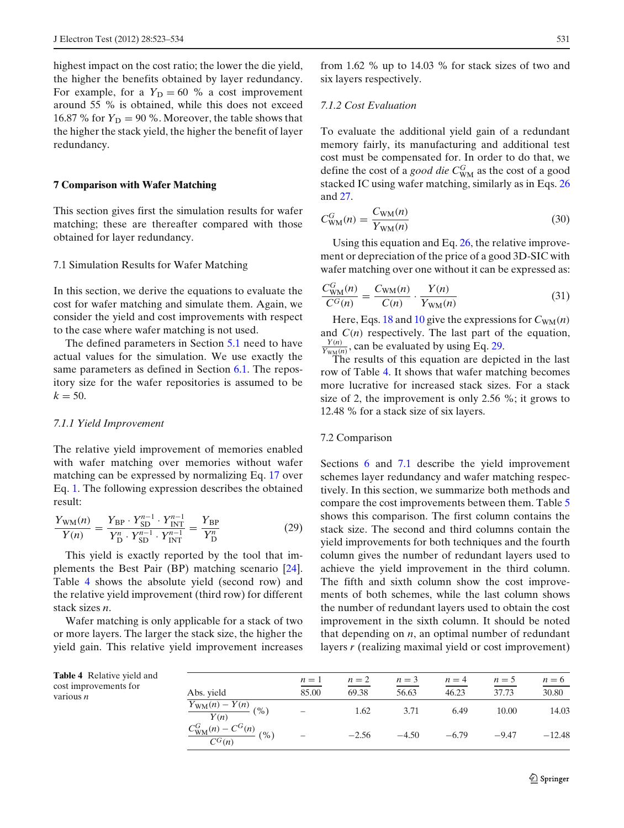<span id="page-8-0"></span>highest impact on the cost ratio; the lower the die yield, the higher the benefits obtained by layer redundancy. For example, for a  $Y_D = 60$  % a cost improvement around 55 % is obtained, while this does not exceed 16.87 % for  $Y_D = 90$  %. Moreover, the table shows that the higher the stack yield, the higher the benefit of layer redundancy.

#### **7 Comparison with Wafer Matching**

This section gives first the simulation results for wafer matching; these are thereafter compared with those obtained for layer redundancy.

#### 7.1 Simulation Results for Wafer Matching

In this section, we derive the equations to evaluate the cost for wafer matching and simulate them. Again, we consider the yield and cost improvements with respect to the case where wafer matching is not used.

The defined parameters in Section [5.1](#page-5-0) need to have actual values for the simulation. We use exactly the same parameters as defined in Section [6.1.](#page-6-0) The repository size for the wafer repositories is assumed to be  $k = 50$ .

#### *7.1.1 Yield Improvement*

The relative yield improvement of memories enabled with wafer matching over memories without wafer matching can be expressed by normalizing Eq. [17](#page-5-0) over Eq. [1.](#page-3-0) The following expression describes the obtained result:

$$
\frac{Y_{\text{WM}}(n)}{Y(n)} = \frac{Y_{\text{BP}} \cdot Y_{\text{SD}}^{n-1} \cdot Y_{\text{INT}}^{n-1}}{Y_{\text{D}}^n \cdot Y_{\text{SD}}^{n-1} \cdot Y_{\text{INT}}^{n-1}} = \frac{Y_{\text{BP}}}{Y_{\text{D}}^n}
$$
(29)

This yield is exactly reported by the tool that implements the Best Pair (BP) matching scenario [\[24](#page-11-0)]. Table 4 shows the absolute yield (second row) and the relative yield improvement (third row) for different stack sizes *n*.

Wafer matching is only applicable for a stack of two or more layers. The larger the stack size, the higher the yield gain. This relative yield improvement increases from 1.62 % up to 14.03 % for stack sizes of two and six layers respectively.

## *7.1.2 Cost Evaluation*

To evaluate the additional yield gain of a redundant memory fairly, its manufacturing and additional test cost must be compensated for. In order to do that, we define the cost of a *good die*  $C_{WM}^G$  as the cost of a good stacked IC using wafer matching, similarly as in Eqs. [26](#page-7-0) and [27.](#page-7-0)

$$
C_{\text{WM}}^G(n) = \frac{C_{\text{WM}}(n)}{Y_{\text{WM}}(n)}
$$
\n(30)

Using this equation and Eq. [26,](#page-7-0) the relative improvement or depreciation of the price of a good 3D-SIC with wafer matching over one without it can be expressed as:

$$
\frac{C_{WM}^G(n)}{C^G(n)} = \frac{C_{WM}(n)}{C(n)} \cdot \frac{Y(n)}{Y_{WM}(n)}
$$
(31)

Here, Eqs. [18](#page-5-0) and [10](#page-4-0) give the expressions for  $C_{WM}(n)$ and *C*(*n*) respectively. The last part of the equation,  $\frac{Y(n)}{Y_{\text{WM}}(n)}$ , can be evaluated by using Eq. 29.

The results of this equation are depicted in the last row of Table 4. It shows that wafer matching becomes more lucrative for increased stack sizes. For a stack size of 2, the improvement is only 2.56 %; it grows to 12.48 % for a stack size of six layers.

## 7.2 Comparison

Sections [6](#page-6-0) and 7.1 describe the yield improvement schemes layer redundancy and wafer matching respectively. In this section, we summarize both methods and compare the cost improvements between them. Table [5](#page-9-0) shows this comparison. The first column contains the stack size. The second and third columns contain the yield improvements for both techniques and the fourth column gives the number of redundant layers used to achieve the yield improvement in the third column. The fifth and sixth column show the cost improvements of both schemes, while the last column shows the number of redundant layers used to obtain the cost improvement in the sixth column. It should be noted that depending on *n*, an optimal number of redundant layers *r* (realizing maximal yield or cost improvement)

| <b>Table 4</b> Relative yield and<br>cost improvements for<br>various <i>n</i> | Abs. yield                                         | $n=1$<br>85.00    | $n=2$<br>69.38 | $n=3$<br>56.63 | $n=4$<br>46.23 | $n=5$<br>37.73 | $n=6$<br>30.80 |
|--------------------------------------------------------------------------------|----------------------------------------------------|-------------------|----------------|----------------|----------------|----------------|----------------|
|                                                                                | $\frac{Y_{\text{WM}}(n) - Y(n)}{Y(n)}$<br>( %)     | $\qquad \qquad =$ | 1.62           | 3.71           | 6.49           | 10.00          | 14.03          |
|                                                                                | $\frac{C_{\text{WM}}^G(n)-C^G(n)}{C^G(n)}\,\,(\%)$ |                   | $-2.56$        | $-4.50$        | $-6.79$        | $-9.47$        | $-12.48$       |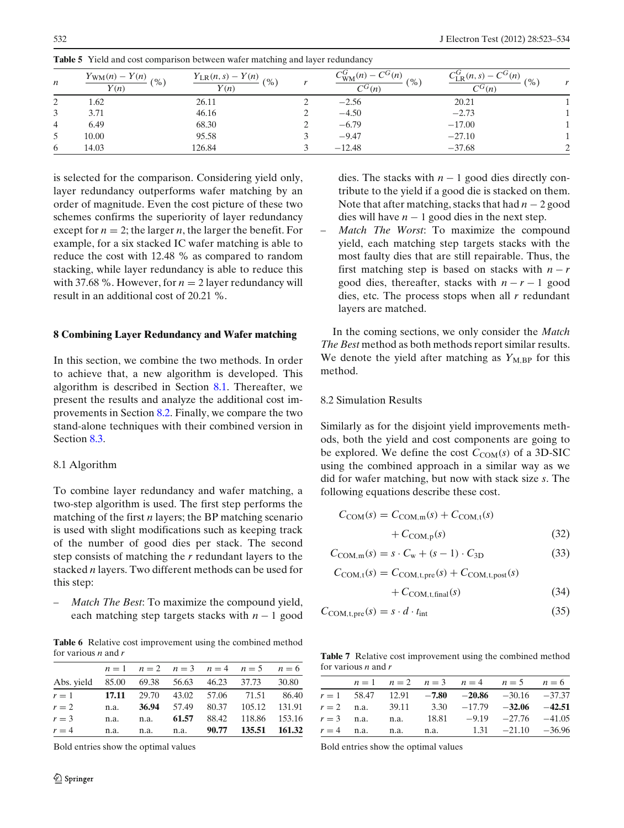| $\boldsymbol{n}$ | $Y_{\text{WM}}(n) - Y(n)$<br>(9/0)<br>$\overline{Y(n)}$ | $\frac{Y_{LR}(n,s) - Y(n)}{Y_{LR}(n,s)}$ (%)<br>Y(n) | $C^G(n)$<br>(9)<br>$\overline{C^G(n)}$ | $C_{\text{LR}}^G(n, s) - C^G(n)$<br>(9)<br>$\overline{C^G(n)}$ |  |
|------------------|---------------------------------------------------------|------------------------------------------------------|----------------------------------------|----------------------------------------------------------------|--|
| 2                | 1.62                                                    | 26.11                                                | $-2.56$                                | 20.21                                                          |  |
| 3                | 3.71                                                    | 46.16                                                | $-4.50$                                | $-2.73$                                                        |  |
| $\overline{4}$   | 6.49                                                    | 68.30                                                | $-6.79$                                | $-17.00$                                                       |  |
| 5                | 10.00                                                   | 95.58                                                | $-9.47$                                | $-27.10$                                                       |  |
| 6                | 14.03                                                   | 126.84                                               | $-12.48$                               | $-37.68$                                                       |  |

<span id="page-9-0"></span>**Table 5** Yield and cost comparison between wafer matching and layer redundancy

is selected for the comparison. Considering yield only, layer redundancy outperforms wafer matching by an order of magnitude. Even the cost picture of these two schemes confirms the superiority of layer redundancy except for  $n = 2$ ; the larger *n*, the larger the benefit. For example, for a six stacked IC wafer matching is able to reduce the cost with 12.48 % as compared to random stacking, while layer redundancy is able to reduce this with 37.68 %. However, for  $n = 2$  layer redundancy will result in an additional cost of 20.21 %.

## **8 Combining Layer Redundancy and Wafer matching**

In this section, we combine the two methods. In order to achieve that, a new algorithm is developed. This algorithm is described in Section 8.1. Thereafter, we present the results and analyze the additional cost improvements in Section 8.2. Finally, we compare the two stand-alone techniques with their combined version in Section [8.3.](#page-10-0)

# 8.1 Algorithm

To combine layer redundancy and wafer matching, a two-step algorithm is used. The first step performs the matching of the first *n* layers; the BP matching scenario is used with slight modifications such as keeping track of the number of good dies per stack. The second step consists of matching the *r* redundant layers to the stacked *n* layers. Two different methods can be used for this step:

– *Match The Best*: To maximize the compound yield, each matching step targets stacks with *n* − 1 good

**Table 6** Relative cost improvement using the combined method for various *n* and *r*

|                                                |      |  | $n=1$ $n=2$ $n=3$ $n=4$ $n=5$ $n=6$  |  |
|------------------------------------------------|------|--|--------------------------------------|--|
| Abs. yield 85.00 69.38 56.63 46.23 37.73 30.80 |      |  |                                      |  |
| $r = 1$ 17.11 29.70 43.02 57.06 71.51 86.40    |      |  |                                      |  |
| $r=2$                                          |      |  | n.a. 36.94 57.49 80.37 105.12 131.91 |  |
| $r = 3$                                        | n.a. |  | n.a. 61.57 88.42 118.86 153.16       |  |
| $r = 4$                                        | n.a. |  | n.a. n.a. 90.77 135.51 161.32        |  |

Bold entries show the optimal values

dies. The stacks with  $n - 1$  good dies directly contribute to the yield if a good die is stacked on them. Note that after matching, stacks that had *n* − 2 good dies will have  $n - 1$  good dies in the next step.

– *Match The Worst*: To maximize the compound yield, each matching step targets stacks with the most faulty dies that are still repairable. Thus, the first matching step is based on stacks with  $n - r$ good dies, thereafter, stacks with  $n - r - 1$  good dies, etc. The process stops when all *r* redundant layers are matched.

In the coming sections, we only consider the *Match The Best* method as both methods report similar results. We denote the yield after matching as  $Y_{\text{M,BP}}$  for this method.

# 8.2 Simulation Results

Similarly as for the disjoint yield improvements methods, both the yield and cost components are going to be explored. We define the cost  $C_{COM}(s)$  of a 3D-SIC using the combined approach in a similar way as we did for wafer matching, but now with stack size *s*. The following equations describe these cost.

$$
CCOM(s) = CCOM,m(s) + CCOM,t(s)
$$
  
+ 
$$
CCOM,p(s)
$$
 (32)

$$
C_{COM,m}(s) = s \cdot C_w + (s - 1) \cdot C_{3D} \tag{33}
$$

$$
C_{COM,t}(s) = C_{COM,t,pre}(s) + C_{COM,t,post}(s)
$$

$$
+ C_{COM,t,final}(s) \tag{34}
$$

$$
C_{\text{COM,t,pre}}(s) = s \cdot d \cdot t_{\text{int}} \tag{35}
$$

**Table 7** Relative cost improvement using the combined method for various *n* and *r*

|  |  | $n=1$ $n=2$ $n=3$ $n=4$ $n=5$ $n=6$             |  |
|--|--|-------------------------------------------------|--|
|  |  | $r = 1$ 58.47 12.91 -7.80 -20.86 -30.16 -37.37  |  |
|  |  | $r = 2$ n.a. 39.11 3.30 -17.79 -32.06 -42.51    |  |
|  |  | $r = 3$ n.a. n.a. 18.81 -9.19 -27.76 -41.05     |  |
|  |  | $r = 4$ n.a. n.a. n.a. $1.31$ $-21.10$ $-36.96$ |  |

Bold entries show the optimal values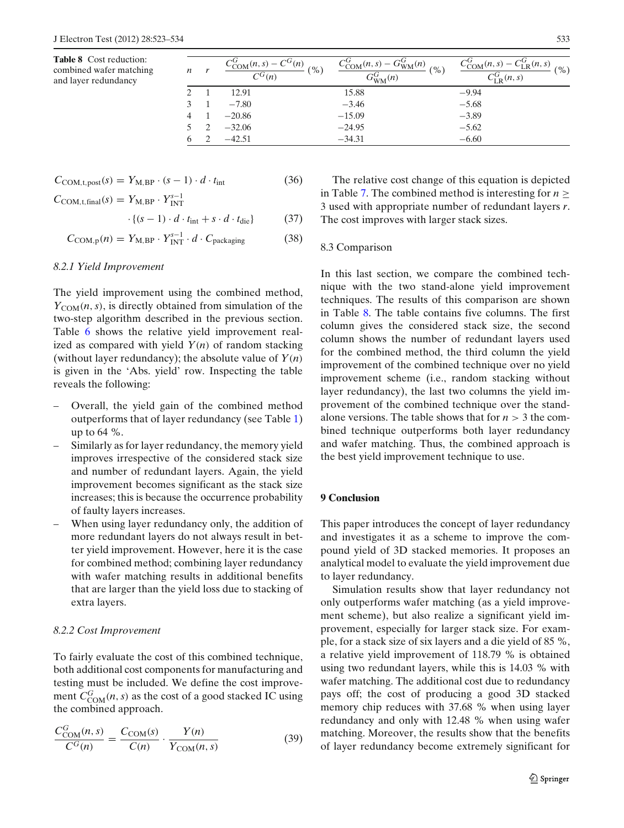<span id="page-10-0"></span>**Table 8** Cost reduction: combined wafer matching and layer redundancy

| n | $C^{G}(n)$<br>$\sim_{\text{COM}}(n, s)$ -<br>(%)<br>$C^G(n)$ | $G_{WM}^{G}(n)$<br>(9)<br>$G_{\text{WM}}^G(n)$ | $C_{COM}^{G}(n, s)$<br>$T_{\rm p}(n,s)$<br>$\frac{9}{6}$<br>$C_{LP}^G(n,s)$ |
|---|--------------------------------------------------------------|------------------------------------------------|-----------------------------------------------------------------------------|
|   | 12.91                                                        | 15.88                                          | $-9.94$                                                                     |
|   | $-7.80$                                                      | $-3.46$                                        | $-5.68$                                                                     |
| 4 | $-20.86$                                                     | $-15.09$                                       | $-3.89$                                                                     |
|   | $-32.06$                                                     | $-24.95$                                       | $-5.62$                                                                     |
|   | $-42.51$                                                     | $-34.31$                                       | $-6.60$                                                                     |

$$
C_{\text{COM,t,post}}(s) = Y_{\text{M,BP}} \cdot (s-1) \cdot d \cdot t_{\text{int}}
$$
 (36)

 $C_{COM,t,final}(s) = Y_{M,BP} \cdot Y_{INT}^{s-1}$  $\cdot \{(s-1) \cdot d \cdot t_{\text{int}} + s \cdot d \cdot t_{\text{die}}\}$  (37)

$$
C_{\text{COM},p}(n) = Y_{\text{M},\text{BP}} \cdot Y_{\text{INT}}^{s-1} \cdot d \cdot C_{\text{packaging}} \tag{38}
$$

## *8.2.1 Yield Improvement*

The yield improvement using the combined method,  $Y_{COM}(n, s)$ , is directly obtained from simulation of the two-step algorithm described in the previous section. Table [6](#page-9-0) shows the relative yield improvement realized as compared with yield  $Y(n)$  of random stacking (without layer redundancy); the absolute value of  $Y(n)$ is given in the 'Abs. yield' row. Inspecting the table reveals the following:

- Overall, the yield gain of the combined method outperforms that of layer redundancy (see Table [1\)](#page-6-0) up to 64 %.
- Similarly as for layer redundancy, the memory yield improves irrespective of the considered stack size and number of redundant layers. Again, the yield improvement becomes significant as the stack size increases; this is because the occurrence probability of faulty layers increases.
- When using layer redundancy only, the addition of more redundant layers do not always result in better yield improvement. However, here it is the case for combined method; combining layer redundancy with wafer matching results in additional benefits that are larger than the yield loss due to stacking of extra layers.

#### *8.2.2 Cost Improvement*

To fairly evaluate the cost of this combined technique, both additional cost components for manufacturing and testing must be included. We define the cost improvement  $C_{COM}^G(n, s)$  as the cost of a good stacked IC using the combined approach.

$$
\frac{C_{\text{COM}}^G(n,s)}{C^G(n)} = \frac{C_{\text{COM}}(s)}{C(n)} \cdot \frac{Y(n)}{Y_{\text{COM}}(n,s)}
$$
(39)

The relative cost change of this equation is depicted in Table [7.](#page-9-0) The combined method is interesting for  $n \geq$ 3 used with appropriate number of redundant layers *r*. The cost improves with larger stack sizes.

#### 8.3 Comparison

In this last section, we compare the combined technique with the two stand-alone yield improvement techniques. The results of this comparison are shown in Table 8. The table contains five columns. The first column gives the considered stack size, the second column shows the number of redundant layers used for the combined method, the third column the yield improvement of the combined technique over no yield improvement scheme (i.e., random stacking without layer redundancy), the last two columns the yield improvement of the combined technique over the standalone versions. The table shows that for  $n > 3$  the combined technique outperforms both layer redundancy and wafer matching. Thus, the combined approach is the best yield improvement technique to use.

## **9 Conclusion**

This paper introduces the concept of layer redundancy and investigates it as a scheme to improve the compound yield of 3D stacked memories. It proposes an analytical model to evaluate the yield improvement due to layer redundancy.

Simulation results show that layer redundancy not only outperforms wafer matching (as a yield improvement scheme), but also realize a significant yield improvement, especially for larger stack size. For example, for a stack size of six layers and a die yield of 85 %, a relative yield improvement of 118.79 % is obtained using two redundant layers, while this is 14.03 % with wafer matching. The additional cost due to redundancy pays off; the cost of producing a good 3D stacked memory chip reduces with 37.68 % when using layer redundancy and only with 12.48 % when using wafer matching. Moreover, the results show that the benefits of layer redundancy become extremely significant for